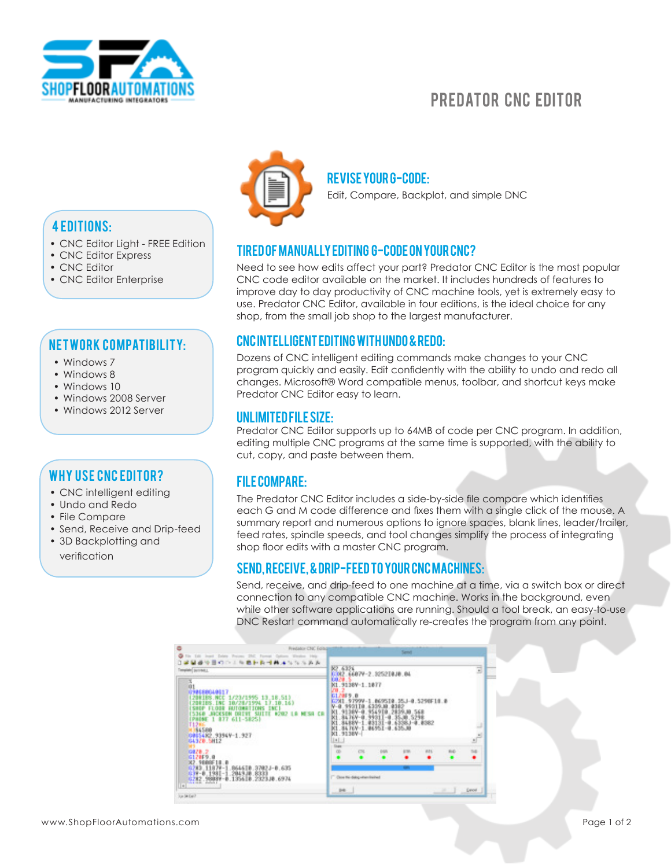

# PREDATOR CNC EDITOR

# 4 editions:

- CNC Editor Light FREE Edition
- CNC Editor Express
- CNC Editor
- CNC Editor Enterprise

# NET WORK COMPATIBILITY:

- Windows 7
- Windows 8
- Windows 10
- Windows 2008 Server
- Windows 2012 Server

# Why use CNC Editor?

- CNC intelligent editing
- Undo and Redo
- File Compare
- Send, Receive and Drip-feed
- 3D Backplotting and verification



#### Revise your G-code:

Edit, Compare, Backplot, and simple DNC

# Tired of manually editing G-code on your CNC?

Need to see how edits affect your part? Predator CNC Editor is the most popular CNC code editor available on the market. It includes hundreds of features to improve day to day productivity of CNC machine tools, yet is extremely easy to use. Predator CNC Editor, available in four editions, is the ideal choice for any shop, from the small job shop to the largest manufacturer.

#### CNC intelligent editing with Undo & Redo:

Dozens of CNC intelligent editing commands make changes to your CNC program quickly and easily. Edit confidently with the ability to undo and redo all changes. Microsoft® Word compatible menus, toolbar, and shortcut keys make Predator CNC Editor easy to learn.

#### Unlimited file size:

Predator CNC Editor supports up to 64MB of code per CNC program. In addition, editing multiple CNC programs at the same time is supported, with the ability to cut, copy, and paste between them.

## File Compare:

The Predator CNC Editor includes a side-by-side file compare which identifies each G and M code difference and fixes them with a single click of the mouse. A summary report and numerous options to ignore spaces, blank lines, leader/trailer, feed rates, spindle speeds, and tool changes simplify the process of integrating shop floor edits with a master CNC program.

## Send, Receive, & Drip-feed to your CNC machines:

Send, receive, and drip-feed to one machine at a time, via a switch box or direct connection to any compatible CNC machine. Works in the background, even while other software applications are running. Should a tool break, an easy-to-use DNC Restart command automatically re-creates the program from any point.

| <b>Predator CNC Editor</b><br>Talk<br>Jean' Dates Freizer 2847<br>冷日の口上版<br>なならあみ<br>医巨齿弓曲<br>Implair purchas L                                                                                        | Send<br>K2,6324<br>K302,6687V-2.325210J0.04                                                                                                                                                            |           |                |     |            |     |                                  |
|--------------------------------------------------------------------------------------------------------------------------------------------------------------------------------------------------------|--------------------------------------------------------------------------------------------------------------------------------------------------------------------------------------------------------|-----------|----------------|-----|------------|-----|----------------------------------|
| ŭt<br>090680040617<br>200188.000 1/23/1995 13.18.51)<br>200188.100 10/20/1994 17:10.16)<br>DRIVE SUITE #202 LB<br>SH CR<br>[PHONE 1 877 611-5825]<br>$-0.1113800$<br>0015482.93949-1.927<br>G4320.5H12 | K1.9138V-1.1877<br>6120F9.0<br>.069510.35J-0.5290F10.0<br>1.781.97999-1<br>$V-0.993110$ .<br>6339.88<br>35.10.5298<br>4398.J-0.0382<br>$-1.93131 - 9.$<br>$-1.96951 - 9.$<br>635.38<br>K1.9138V-<br> 1 |           |                |     |            |     | a<br>$\mathbb{R}^{\mathbb{R}^2}$ |
| 10828.2<br>G120F9.0                                                                                                                                                                                    | <b>Guar</b><br><b>GS</b>                                                                                                                                                                               | <b>CH</b> | <b>D&amp;A</b> | 678 | <b>HTL</b> | BG. | <b>Sid</b>                       |
| X2.9880F18.0<br>0283 11829-1 064610.37023-0.635<br>037-0.1981-1.2049J0.8333<br>0282.98087-0.135610.2323J0.6974<br>$\vert$ =<br>lus la (us)                                                             | <b>Carry</b><br>Close this disk g when friends<br>P4<br><b>Detroit</b>                                                                                                                                 |           |                |     |            |     |                                  |